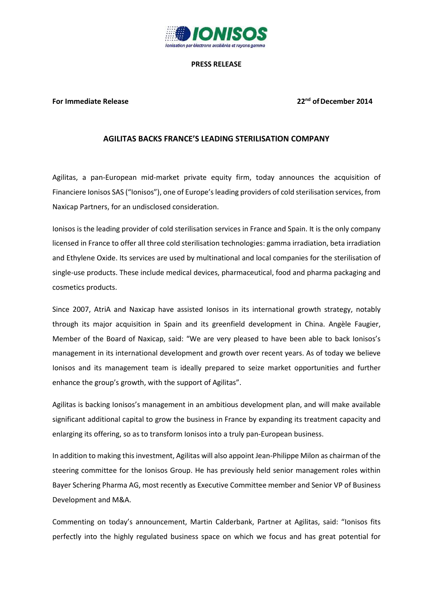

### **PRESS RELEASE**

### **For Immediate Release 22nd ofDecember 2014**

### **AGILITAS BACKS FRANCE'S LEADING STERILISATION COMPANY**

Agilitas, a pan-European mid-market private equity firm, today announces the acquisition of Financiere Ionisos SAS ("Ionisos"), one of Europe's leading providers of cold sterilisation services, from Naxicap Partners, for an undisclosed consideration.

Ionisos is the leading provider of cold sterilisation services in France and Spain. It is the only company licensed in France to offer all three cold sterilisation technologies: gamma irradiation, beta irradiation and Ethylene Oxide. Its services are used by multinational and local companies for the sterilisation of single-use products. These include medical devices, pharmaceutical, food and pharma packaging and cosmetics products.

Since 2007, AtriA and Naxicap have assisted Ionisos in its international growth strategy, notably through its major acquisition in Spain and its greenfield development in China. Angèle Faugier, Member of the Board of Naxicap, said: "We are very pleased to have been able to back Ionisos's management in its international development and growth over recent years. As of today we believe Ionisos and its management team is ideally prepared to seize market opportunities and further enhance the group's growth, with the support of Agilitas".

Agilitas is backing Ionisos's management in an ambitious development plan, and will make available significant additional capital to grow the business in France by expanding its treatment capacity and enlarging its offering, so as to transform Ionisos into a truly pan-European business.

In addition to making this investment, Agilitas will also appoint Jean-Philippe Milon as chairman of the steering committee for the Ionisos Group. He has previously held senior management roles within Bayer Schering Pharma AG, most recently as Executive Committee member and Senior VP of Business Development and M&A.

Commenting on today's announcement, Martin Calderbank, Partner at Agilitas, said: "Ionisos fits perfectly into the highly regulated business space on which we focus and has great potential for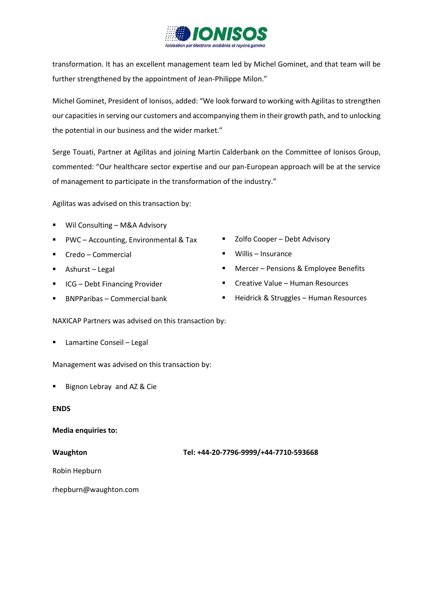

transformation. It has an excellent management team led by Michel Gominet, and that team will be further strengthened by the appointment of Jean-Philippe Milon."

Michel Gominet, President of Ionisos, added: "We look forward to working with Agilitas to strengthen our capacities in serving our customers and accompanying them in their growth path, and to unlocking the potential in our business and the wider market."

Serge Touati, Partner at Agilitas and joining Martin Calderbank on the Committee of Ionisos Group, commented: "Our healthcare sector expertise and our pan-European approach will be at the service of management to participate in the transformation of the industry."

Agilitas was advised on this transaction by:

- Wil Consulting M&A Advisory
- PWC Accounting, Environmental & Tax
- Credo Commercial
- Ashurst Legal
- ICG Debt Financing Provider
- BNPParibas Commercial bank
- Zolfo Cooper Debt Advisory
- Willis Insurance
- Mercer Pensions & Employee Benefits
- **EXECTE:** Creative Value Human Resources
- **Heidrick & Struggles Human Resources**

NAXICAP Partners was advised on this transaction by:

■ Lamartine Conseil – Legal

Management was advised on this transaction by:

Bignon Lebray and AZ & Cie

### **ENDS**

# **Media enquiries to:**

**Waughton Tel: +44-20-7796-9999/+44-7710-593668**

Robin Hepburn

rhepburn@waughton.com